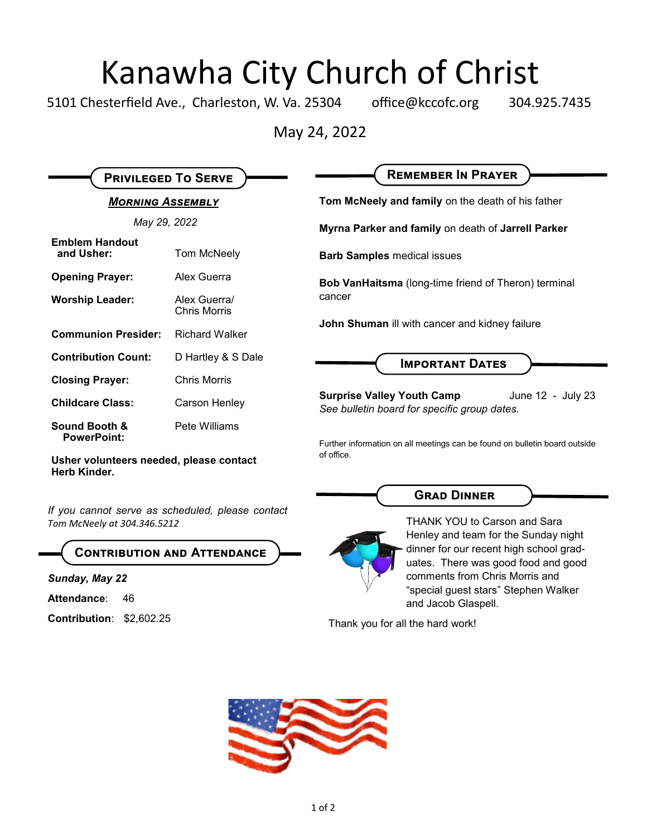## Kanawha City Church of Christ

5101 Chesterfield Ave., Charleston, W. Va. 25304 office@kccofc.org 304.925.7435

May 24, 2022

| <b>PRIVILEGED TO SERVE</b>          |                                     | <b>REMEMBER IN PRAYER</b>                                                                                               |
|-------------------------------------|-------------------------------------|-------------------------------------------------------------------------------------------------------------------------|
| <b>MORNING ASSEMBLY</b>             |                                     | Tom McNeely and family on the death of his father                                                                       |
| May 29, 2022                        |                                     | Myrna Parker and family on death of Jarrell Parker                                                                      |
| <b>Emblem Handout</b><br>and Usher: | Tom McNeely                         | <b>Barb Samples medical issues</b>                                                                                      |
| <b>Opening Prayer:</b>              | Alex Guerra                         | <b>Bob VanHaitsma</b> (long-time friend of Theron) terminal<br>cancer<br>John Shuman ill with cancer and kidney failure |
| <b>Worship Leader:</b>              | Alex Guerral<br><b>Chris Morris</b> |                                                                                                                         |
| <b>Communion Presider:</b>          | <b>Richard Walker</b>               |                                                                                                                         |
| <b>Contribution Count:</b>          | D Hartley & S Dale                  | <b>IMPORTANT DATES</b>                                                                                                  |
| <b>Closing Prayer:</b>              | <b>Chris Morris</b>                 |                                                                                                                         |
| <b>Childcare Class:</b>             | Carson Henley                       | <b>Surprise Valley Youth Camp</b><br>June 12 - July 23<br>See bulletin board for specific group dates.                  |
| Sound Booth &<br><b>PowerPoint:</b> | Pete Williams                       | Further information on all meetings can be found on bulletin board outside                                              |

of office.

**Usher volunteers needed, please contact Herb Kinder.**

*If you cannot serve as scheduled, please contact Tom McNeely at 304.346.5212*

**Contribution and Attendance**

*Sunday, May 22*

Attendance: 46

**Contribution**: \$2,602.25

**Grad Dinner**



THANK YOU to Carson and Sara Henley and team for the Sunday night dinner for our recent high school graduates. There was good food and good comments from Chris Morris and "special guest stars" Stephen Walker and Jacob Glaspell.

Thank you for all the hard work!